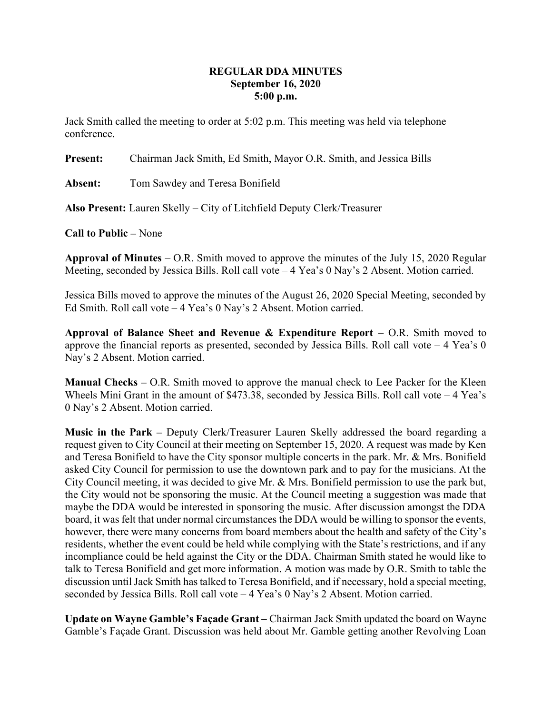## REGULAR DDA MINUTES September 16, 2020 5:00 p.m.

Jack Smith called the meeting to order at 5:02 p.m. This meeting was held via telephone conference.

Present: Chairman Jack Smith, Ed Smith, Mayor O.R. Smith, and Jessica Bills

Absent: Tom Sawdey and Teresa Bonifield

Also Present: Lauren Skelly – City of Litchfield Deputy Clerk/Treasurer

Call to Public – None

**Approval of Minutes** – O.R. Smith moved to approve the minutes of the July 15, 2020 Regular Meeting, seconded by Jessica Bills. Roll call vote – 4 Yea's 0 Nay's 2 Absent. Motion carried.

Jessica Bills moved to approve the minutes of the August 26, 2020 Special Meeting, seconded by Ed Smith. Roll call vote – 4 Yea's 0 Nay's 2 Absent. Motion carried.

Approval of Balance Sheet and Revenue & Expenditure Report  $-$  O.R. Smith moved to approve the financial reports as presented, seconded by Jessica Bills. Roll call vote  $-4$  Yea's 0 Nay's 2 Absent. Motion carried.

Manual Checks – O.R. Smith moved to approve the manual check to Lee Packer for the Kleen Wheels Mini Grant in the amount of \$473.38, seconded by Jessica Bills. Roll call vote - 4 Yea's 0 Nay's 2 Absent. Motion carried.

Music in the Park – Deputy Clerk/Treasurer Lauren Skelly addressed the board regarding a request given to City Council at their meeting on September 15, 2020. A request was made by Ken and Teresa Bonifield to have the City sponsor multiple concerts in the park. Mr. & Mrs. Bonifield asked City Council for permission to use the downtown park and to pay for the musicians. At the City Council meeting, it was decided to give Mr. & Mrs. Bonifield permission to use the park but, the City would not be sponsoring the music. At the Council meeting a suggestion was made that maybe the DDA would be interested in sponsoring the music. After discussion amongst the DDA board, it was felt that under normal circumstances the DDA would be willing to sponsor the events, however, there were many concerns from board members about the health and safety of the City's residents, whether the event could be held while complying with the State's restrictions, and if any incompliance could be held against the City or the DDA. Chairman Smith stated he would like to talk to Teresa Bonifield and get more information. A motion was made by O.R. Smith to table the discussion until Jack Smith has talked to Teresa Bonifield, and if necessary, hold a special meeting, seconded by Jessica Bills. Roll call vote – 4 Yea's 0 Nay's 2 Absent. Motion carried.

Update on Wayne Gamble's Façade Grant – Chairman Jack Smith updated the board on Wayne Gamble's Façade Grant. Discussion was held about Mr. Gamble getting another Revolving Loan